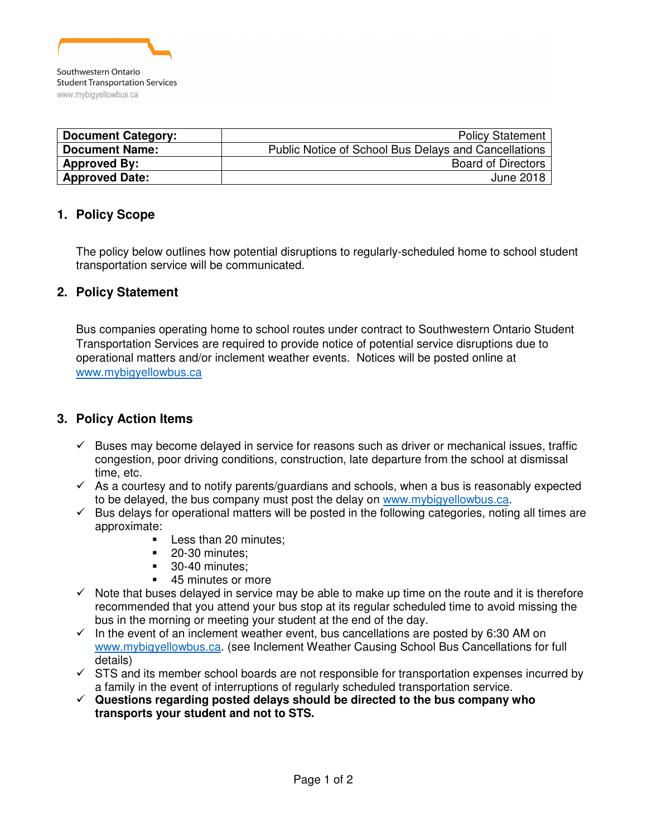

| <b>Document Category:</b> | <b>Policy Statement</b>                              |
|---------------------------|------------------------------------------------------|
| <b>Document Name:</b>     | Public Notice of School Bus Delays and Cancellations |
| <b>Approved By:</b>       | <b>Board of Directors</b>                            |
| <b>Approved Date:</b>     | June 2018                                            |

## **1. Policy Scope**

The policy below outlines how potential disruptions to regularly-scheduled home to school student transportation service will be communicated.

#### **2. Policy Statement**

Bus companies operating home to school routes under contract to Southwestern Ontario Student Transportation Services are required to provide notice of potential service disruptions due to operational matters and/or inclement weather events. Notices will be posted online at www.mybigyellowbus.ca

### **3. Policy Action Items**

- $\checkmark$  Buses may become delayed in service for reasons such as driver or mechanical issues, traffic congestion, poor driving conditions, construction, late departure from the school at dismissal time, etc.
- $\checkmark$  As a courtesy and to notify parents/guardians and schools, when a bus is reasonably expected to be delayed, the bus company must post the delay on www.mybigyellowbus.ca.
- $\checkmark$  Bus delays for operational matters will be posted in the following categories, noting all times are approximate:
	- -Less than 20 minutes;
	- -20-30 minutes;
	- -30-40 minutes;
	- -45 minutes or more
- $\checkmark$  Note that buses delayed in service may be able to make up time on the route and it is therefore recommended that you attend your bus stop at its regular scheduled time to avoid missing the bus in the morning or meeting your student at the end of the day.
- $\checkmark$  In the event of an inclement weather event, bus cancellations are posted by 6:30 AM on www.mybigyellowbus.ca. (see Inclement Weather Causing School Bus Cancellations for full details)
- $\checkmark$  STS and its member school boards are not responsible for transportation expenses incurred by a family in the event of interruptions of regularly scheduled transportation service.
- **Questions regarding posted delays should be directed to the bus company who transports your student and not to STS.**